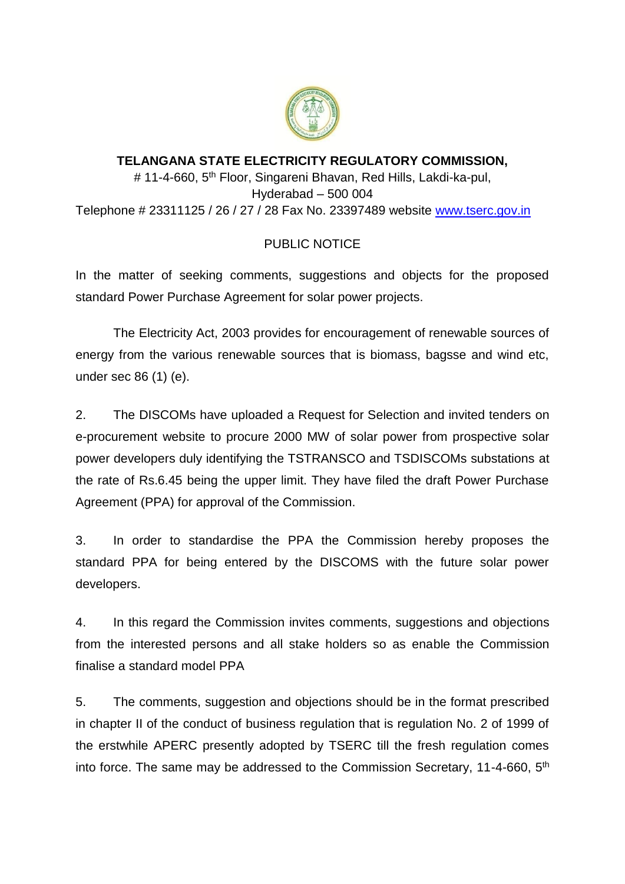

## **TELANGANA STATE ELECTRICITY REGULATORY COMMISSION,** # 11-4-660, 5<sup>th</sup> Floor, Singareni Bhavan, Red Hills, Lakdi-ka-pul, Hyderabad – 500 004 Telephone # 23311125 / 26 / 27 / 28 Fax No. 23397489 website [www.tserc.gov.in](http://www.tserc.gov.in/)

## PUBLIC NOTICE

In the matter of seeking comments, suggestions and objects for the proposed standard Power Purchase Agreement for solar power projects.

The Electricity Act, 2003 provides for encouragement of renewable sources of energy from the various renewable sources that is biomass, bagsse and wind etc, under sec 86 (1) (e).

2. The DISCOMs have uploaded a Request for Selection and invited tenders on e-procurement website to procure 2000 MW of solar power from prospective solar power developers duly identifying the TSTRANSCO and TSDISCOMs substations at the rate of Rs.6.45 being the upper limit. They have filed the draft Power Purchase Agreement (PPA) for approval of the Commission.

3. In order to standardise the PPA the Commission hereby proposes the standard PPA for being entered by the DISCOMS with the future solar power developers.

4. In this regard the Commission invites comments, suggestions and objections from the interested persons and all stake holders so as enable the Commission finalise a standard model PPA

5. The comments, suggestion and objections should be in the format prescribed in chapter II of the conduct of business regulation that is regulation No. 2 of 1999 of the erstwhile APERC presently adopted by TSERC till the fresh regulation comes into force. The same may be addressed to the Commission Secretary, 11-4-660, 5<sup>th</sup>